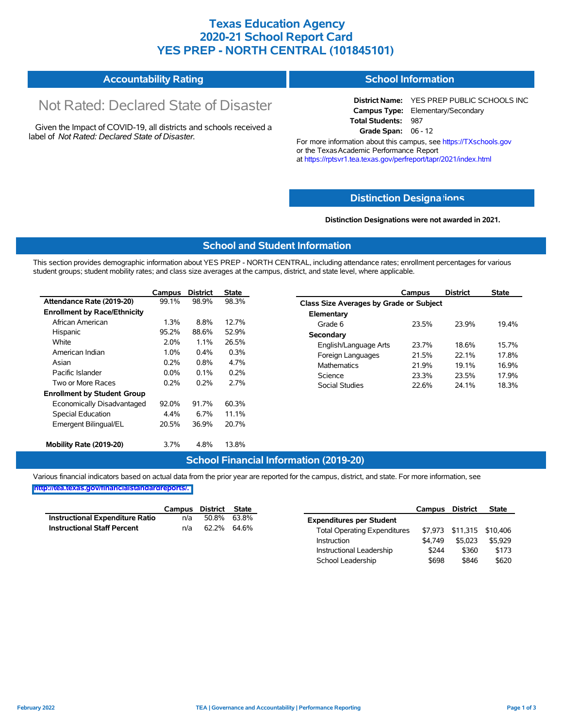### **Texas Education Agency 2020-21 School Report Card YES PREP - NORTH CENTRAL (101845101)**

| <b>Accountability Rating</b> | School Information |
|------------------------------|--------------------|
|                              |                    |

# Not Rated: Declared State of Disaster

Given the Impact of COVID-19, all districts and schools received a label of *Not Rated: Declared State of Disaster.*

**District Name:** YES PREP PUBLIC SCHOOLS INC **Campus Type:** Elementary/Secondary **Total Students:** 987 **Grade Span:** 06 - 12

For more information about this campus, see https://TXschools.gov or the Texas Academic Performance Report at https://rptsvr1.tea.texas.gov/perfreport/tapr/2021/index.html

#### **Distinction Designa[tions](https://TXschools.gov)**

**Distinction Designations were not awarded in 2021.**

School Leadership  $$698$  \$846 \$620

#### **School and Student Information**

This section provides demographic information about YES PREP - NORTH CENTRAL, including attendance rates; enrollment percentages for various student groups; student mobility rates; and class size averages at the campus, district, and state level, where applicable.

|                                     | Campus | <b>District</b> | <b>State</b> |                       | Campus                                         | <b>District</b> | <b>State</b> |  |  |  |  |
|-------------------------------------|--------|-----------------|--------------|-----------------------|------------------------------------------------|-----------------|--------------|--|--|--|--|
| Attendance Rate (2019-20)           | 99.1%  | 98.9%           | 98.3%        |                       | <b>Class Size Averages by Grade or Subject</b> |                 |              |  |  |  |  |
| <b>Enrollment by Race/Ethnicity</b> |        |                 |              | Elementary            |                                                |                 |              |  |  |  |  |
| African American                    | 1.3%   | 8.8%            | 12.7%        | Grade 6               | 23.5%                                          | 23.9%           | 19.4%        |  |  |  |  |
| Hispanic                            | 95.2%  | 88.6%           | 52.9%        | Secondary             |                                                |                 |              |  |  |  |  |
| White                               | 2.0%   | 1.1%            | 26.5%        | English/Language Arts | 23.7%                                          | 18.6%           | 15.7%        |  |  |  |  |
| American Indian                     | 1.0%   | 0.4%            | 0.3%         | Foreign Languages     | 21.5%                                          | 22.1%           | 17.8%        |  |  |  |  |
| Asian                               | 0.2%   | 0.8%            | 4.7%         | <b>Mathematics</b>    | 21.9%                                          | 19.1%           | 16.9%        |  |  |  |  |
| Pacific Islander                    | 0.0%   | $0.1\%$         | 0.2%         | Science               | 23.3%                                          | 23.5%           | 17.9%        |  |  |  |  |
| Two or More Races                   | 0.2%   | 0.2%            | 2.7%         | Social Studies        | 22.6%                                          | 24.1%           | 18.3%        |  |  |  |  |
| <b>Enrollment by Student Group</b>  |        |                 |              |                       |                                                |                 |              |  |  |  |  |
| Economically Disadvantaged          | 92.0%  | 91.7%           | 60.3%        |                       |                                                |                 |              |  |  |  |  |
| Special Education                   | 4.4%   | $6.7\%$         | 11.1%        |                       |                                                |                 |              |  |  |  |  |
| Emergent Bilingual/EL               | 20.5%  | 36.9%           | 20.7%        |                       |                                                |                 |              |  |  |  |  |
|                                     |        |                 |              |                       |                                                |                 |              |  |  |  |  |
| Mobility Rate (2019-20)             | 3.7%   | 4.8%            | 13.8%        |                       |                                                |                 |              |  |  |  |  |

#### **School Financial Information (2019-20)**

Various financial indicators based on actual data from the prior year are reported for the campus, district, and state. For more information, see

**[http://tea.texas.gov/financialstandardreports/.](http://tea.texas.gov/financialstandardreports/)**

|                                        | Campus | District | <b>State</b> |                                     | <b>Campus</b> | <b>District</b>           | <b>State</b> |
|----------------------------------------|--------|----------|--------------|-------------------------------------|---------------|---------------------------|--------------|
| <b>Instructional Expenditure Ratio</b> | n/a    | 50.8%    | 63.8%        | <b>Expenditures per Student</b>     |               |                           |              |
| <b>Instructional Staff Percent</b>     | n/a    | 62.2%    | 64.6%        | <b>Total Operating Expenditures</b> |               | \$7,973 \$11,315 \$10,406 |              |
|                                        |        |          |              | Instruction                         | \$4.749       | \$5,023                   | \$5,929      |
|                                        |        |          |              | Instructional Leadership            | \$244         | \$360                     | \$173        |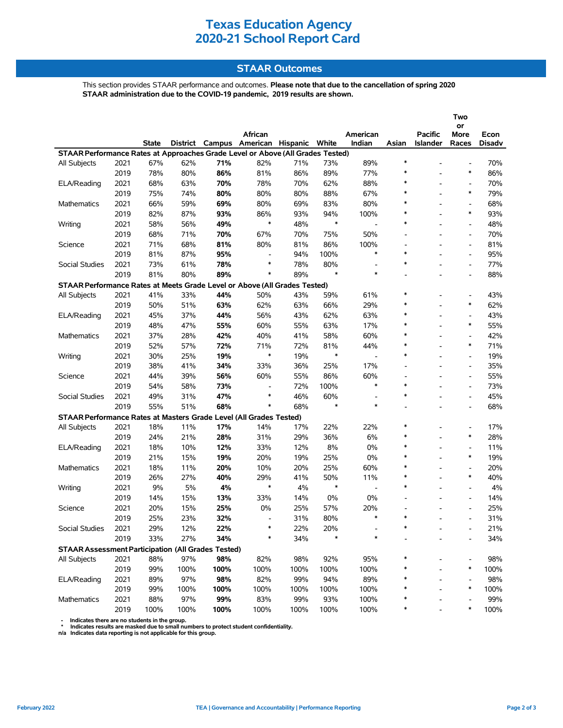# **Texas Education Agency 2020-21 School Report Card**

### **STAAR Outcomes**

This section provides STAAR performance and outcomes. **Please note that due to the cancellation of spring 2020 STAAR administration due to the COVID-19 pandemic, 2019 results are shown.**

|                                                                                          |      |       |      |      |                                         |      |               |                                    |                                    |                 | Two<br>or                              |               |  |
|------------------------------------------------------------------------------------------|------|-------|------|------|-----------------------------------------|------|---------------|------------------------------------|------------------------------------|-----------------|----------------------------------------|---------------|--|
|                                                                                          |      |       |      |      | African                                 |      |               | American                           |                                    | <b>Pacific</b>  | More                                   | Econ          |  |
|                                                                                          |      | State |      |      | District Campus American Hispanic White |      |               | Indian                             | Asian                              | <b>Islander</b> | Races                                  | <b>Disadv</b> |  |
| STAAR Performance Rates at Approaches Grade Level or Above (All Grades Tested)<br>$\ast$ |      |       |      |      |                                         |      |               |                                    |                                    |                 |                                        |               |  |
| <b>All Subjects</b>                                                                      | 2021 | 67%   | 62%  | 71%  | 82%                                     | 71%  | 73%           | 89%                                |                                    |                 | $\overline{\phantom{a}}$               | 70%           |  |
|                                                                                          | 2019 | 78%   | 80%  | 86%  | 81%                                     | 86%  | 89%           | 77%                                | $\ast$                             |                 | $\ast$                                 | 86%           |  |
| ELA/Reading                                                                              | 2021 | 68%   | 63%  | 70%  | 78%                                     | 70%  | 62%           | 88%                                | ∗<br>$\ast$                        |                 | $\qquad \qquad \blacksquare$<br>$\ast$ | 70%           |  |
|                                                                                          | 2019 | 75%   | 74%  | 80%  | 80%                                     | 80%  | 88%           | 67%                                | $\ast$                             |                 |                                        | 79%           |  |
| Mathematics                                                                              | 2021 | 66%   | 59%  | 69%  | 80%                                     | 69%  | 83%           | 80%                                | $\ast$                             | ۰               | $\overline{\phantom{a}}$<br>$\ast$     | 68%           |  |
|                                                                                          | 2019 | 82%   | 87%  | 93%  | 86%<br>$\ast$                           | 93%  | 94%<br>$\ast$ | 100%                               | $\ast$                             |                 |                                        | 93%           |  |
| Writing                                                                                  | 2021 | 58%   | 56%  | 49%  |                                         | 48%  |               | $\overline{a}$                     |                                    |                 | $\frac{1}{2}$                          | 48%           |  |
|                                                                                          | 2019 | 68%   | 71%  | 70%  | 67%                                     | 70%  | 75%           | 50%                                | $\overline{\phantom{a}}$           |                 | $\qquad \qquad \blacksquare$           | 70%           |  |
| Science                                                                                  | 2021 | 71%   | 68%  | 81%  | 80%                                     | 81%  | 86%           | 100%<br>$\ast$                     | $\overline{\phantom{a}}$<br>$\ast$ |                 | $\qquad \qquad \blacksquare$           | 81%           |  |
|                                                                                          | 2019 | 81%   | 87%  | 95%  | $\overline{a}$<br>$\ast$                | 94%  | 100%          |                                    | $\ast$                             |                 | $\overline{\phantom{a}}$               | 95%           |  |
| Social Studies                                                                           | 2021 | 73%   | 61%  | 78%  | ∗                                       | 78%  | 80%<br>$\ast$ | $\overline{\phantom{a}}$<br>$\ast$ |                                    |                 | $\overline{\phantom{a}}$               | 77%           |  |
|                                                                                          | 2019 | 81%   | 80%  | 89%  |                                         | 89%  |               |                                    | $\overline{a}$                     |                 | $\overline{\phantom{a}}$               | 88%           |  |
| STAAR Performance Rates at Meets Grade Level or Above (All Grades Tested)                |      |       |      |      |                                         |      |               |                                    | $\ast$                             |                 |                                        |               |  |
| <b>All Subjects</b>                                                                      | 2021 | 41%   | 33%  | 44%  | 50%                                     | 43%  | 59%           | 61%                                | ∗                                  |                 | $\overline{\phantom{a}}$<br>$\ast$     | 43%           |  |
|                                                                                          | 2019 | 50%   | 51%  | 63%  | 62%                                     | 63%  | 66%           | 29%                                | $\ast$                             |                 |                                        | 62%           |  |
| ELA/Reading                                                                              | 2021 | 45%   | 37%  | 44%  | 56%                                     | 43%  | 62%           | 63%                                | ∗                                  |                 | $\overline{\phantom{a}}$<br>$\ast$     | 43%           |  |
|                                                                                          | 2019 | 48%   | 47%  | 55%  | 60%                                     | 55%  | 63%           | 17%                                | $\ast$                             |                 |                                        | 55%           |  |
| Mathematics                                                                              | 2021 | 37%   | 28%  | 42%  | 40%                                     | 41%  | 58%           | 60%                                | $\ast$                             |                 | $\overline{a}$<br>$\ast$               | 42%           |  |
|                                                                                          | 2019 | 52%   | 57%  | 72%  | 71%                                     | 72%  | 81%           | 44%                                |                                    |                 |                                        | 71%           |  |
| Writing                                                                                  | 2021 | 30%   | 25%  | 19%  | $\ast$                                  | 19%  | $\ast$        | $\overline{\phantom{a}}$           | $\ast$                             |                 | $\overline{\phantom{a}}$               | 19%           |  |
|                                                                                          | 2019 | 38%   | 41%  | 34%  | 33%                                     | 36%  | 25%           | 17%                                | $\blacksquare$                     |                 | $\qquad \qquad \blacksquare$           | 35%           |  |
| Science                                                                                  | 2021 | 44%   | 39%  | 56%  | 60%                                     | 55%  | 86%           | 60%                                | $\overline{\phantom{a}}$           |                 | $\qquad \qquad \blacksquare$           | 55%           |  |
|                                                                                          | 2019 | 54%   | 58%  | 73%  | $\overline{a}$<br>$\ast$                | 72%  | 100%          | $\ast$                             | $\ast$<br>$\ast$                   |                 | $\overline{\phantom{a}}$               | 73%           |  |
| Social Studies                                                                           | 2021 | 49%   | 31%  | 47%  |                                         | 46%  | 60%           |                                    |                                    |                 | $\overline{a}$                         | 45%           |  |
|                                                                                          | 2019 | 55%   | 51%  | 68%  | $\ast$                                  | 68%  | $\ast$        | $\ast$                             | $\overline{\phantom{a}}$           |                 | $\overline{\phantom{a}}$               | 68%           |  |
| STAAR Performance Rates at Masters Grade Level (All Grades Tested)                       |      |       |      |      |                                         |      |               |                                    |                                    |                 |                                        |               |  |
| All Subjects                                                                             | 2021 | 18%   | 11%  | 17%  | 14%                                     | 17%  | 22%           | 22%                                | $\ast$                             |                 | $\overline{\phantom{a}}$               | 17%           |  |
|                                                                                          | 2019 | 24%   | 21%  | 28%  | 31%                                     | 29%  | 36%           | 6%                                 | ∗                                  |                 | $\ast$                                 | 28%           |  |
| ELA/Reading                                                                              | 2021 | 18%   | 10%  | 12%  | 33%                                     | 12%  | 8%            | 0%                                 | $\ast$                             |                 | $\overline{\phantom{a}}$               | 11%           |  |
|                                                                                          | 2019 | 21%   | 15%  | 19%  | 20%                                     | 19%  | 25%           | 0%                                 | $\ast$                             |                 | $\ast$                                 | 19%           |  |
| Mathematics                                                                              | 2021 | 18%   | 11%  | 20%  | 10%                                     | 20%  | 25%           | 60%                                | $\ast$                             | $\overline{a}$  | $\frac{1}{2}$                          | 20%           |  |
|                                                                                          | 2019 | 26%   | 27%  | 40%  | 29%<br>$\ast$                           | 41%  | 50%           | 11%                                | $\ast$                             |                 | $\ast$                                 | 40%           |  |
| Writing                                                                                  | 2021 | 9%    | 5%   | 4%   |                                         | 4%   | $\ast$        | $\overline{\phantom{a}}$           | $\ast$                             | ۰               | $\overline{\phantom{a}}$               | 4%            |  |
|                                                                                          | 2019 | 14%   | 15%  | 13%  | 33%                                     | 14%  | 0%            | 0%                                 |                                    |                 | $\qquad \qquad \blacksquare$           | 14%           |  |
| Science                                                                                  | 2021 | 20%   | 15%  | 25%  | 0%                                      | 25%  | 57%           | 20%                                |                                    |                 |                                        | 25%           |  |
|                                                                                          | 2019 | 25%   | 23%  | 32%  | $\overline{\phantom{a}}$                | 31%  | 80%           | $\ast$                             | $\ast$                             |                 |                                        | 31%           |  |
| Social Studies                                                                           | 2021 | 29%   | 12%  | 22%  | ∗                                       | 22%  | 20%           |                                    |                                    |                 |                                        | 21%           |  |
|                                                                                          | 2019 | 33%   | 27%  | 34%  | $\ast$                                  | 34%  | $\ast$        | $\ast$                             |                                    |                 |                                        | 34%           |  |
| <b>STAAR Assessment Participation (All Grades Tested)</b>                                |      |       |      |      |                                         |      |               |                                    |                                    |                 |                                        |               |  |
| All Subjects                                                                             | 2021 | 88%   | 97%  | 98%  | 82%                                     | 98%  | 92%           | 95%                                |                                    |                 | $\overline{a}$                         | 98%           |  |
|                                                                                          | 2019 | 99%   | 100% | 100% | 100%                                    | 100% | 100%          | 100%                               |                                    |                 | ∗                                      | 100%          |  |
| ELA/Reading                                                                              | 2021 | 89%   | 97%  | 98%  | 82%                                     | 99%  | 94%           | 89%                                | ∗                                  |                 |                                        | 98%           |  |
|                                                                                          | 2019 | 99%   | 100% | 100% | 100%                                    | 100% | 100%          | 100%                               | ∗                                  |                 | ∗                                      | 100%          |  |
| Mathematics                                                                              | 2021 | 88%   | 97%  | 99%  | 83%                                     | 99%  | 93%           | 100%                               | ∗                                  |                 |                                        | 99%           |  |
|                                                                                          | 2019 | 100%  | 100% | 100% | 100%                                    | 100% | 100%          | 100%                               | $\ast$                             |                 | *                                      | 100%          |  |

- Indicates there are no students in the group.<br>\* Indicates results are masked due to small numbers to protect student confidentiality.<br>n/a Indicates data reporting is not applicable for this group.